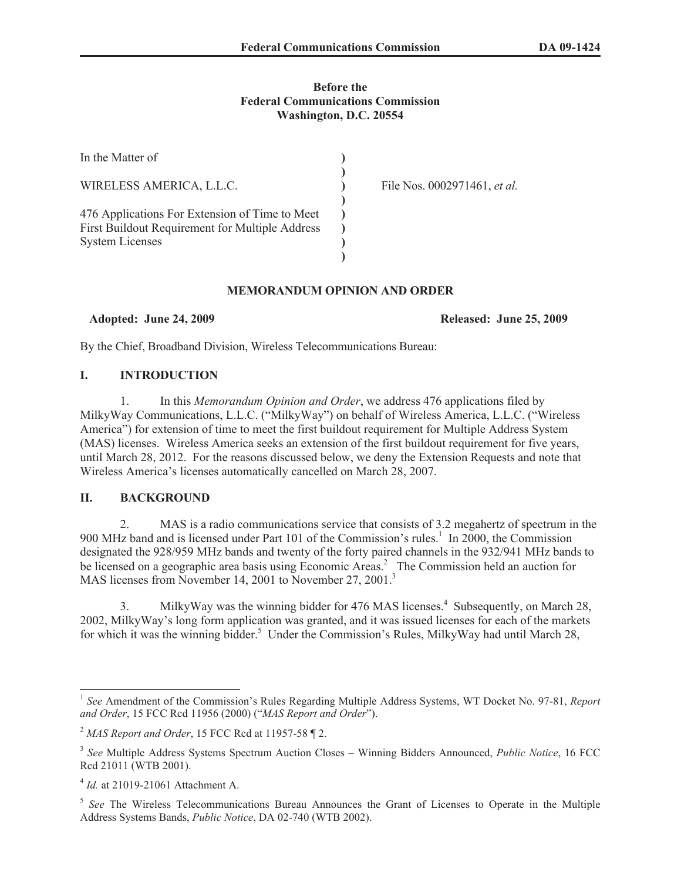## **Before the Federal Communications Commission Washington, D.C. 20554**

| In the Matter of                                                                                                            |                              |
|-----------------------------------------------------------------------------------------------------------------------------|------------------------------|
| WIRELESS AMERICA, L.L.C.                                                                                                    | File Nos. 0002971461, et al. |
| 476 Applications For Extension of Time to Meet<br>First Buildout Requirement for Multiple Address<br><b>System Licenses</b> |                              |
|                                                                                                                             |                              |

## **MEMORANDUM OPINION AND ORDER**

**Adopted: June 24, 2009 Released: June 25, 2009**

By the Chief, Broadband Division, Wireless Telecommunications Bureau:

# **I. INTRODUCTION**

1. In this *Memorandum Opinion and Order*, we address 476 applications filed by MilkyWay Communications, L.L.C. ("MilkyWay") on behalf of Wireless America, L.L.C. ("Wireless America") for extension of time to meet the first buildout requirement for Multiple Address System (MAS) licenses. Wireless America seeks an extension of the first buildout requirement for five years, until March 28, 2012. For the reasons discussed below, we deny the Extension Requests and note that Wireless America's licenses automatically cancelled on March 28, 2007.

# **II. BACKGROUND**

2. MAS is a radio communications service that consists of 3.2 megahertz of spectrum in the 900 MHz band and is licensed under Part 101 of the Commission's rules.<sup>1</sup> In 2000, the Commission designated the 928/959 MHz bands and twenty of the forty paired channels in the 932/941 MHz bands to be licensed on a geographic area basis using Economic Areas.<sup>2</sup> The Commission held an auction for MAS licenses from November 14, 2001 to November 27, 2001.<sup>3</sup>

3. MilkyWay was the winning bidder for 476 MAS licenses.<sup>4</sup> Subsequently, on March 28, 2002, MilkyWay's long form application was granted, and it was issued licenses for each of the markets for which it was the winning bidder.<sup>5</sup> Under the Commission's Rules, MilkyWay had until March 28,

<sup>&</sup>lt;sup>1</sup> See Amendment of the Commission's Rules Regarding Multiple Address Systems, WT Docket No. 97-81, *Report and Order*, 15 FCC Rcd 11956 (2000) ("*MAS Report and Order*").

<sup>2</sup> *MAS Report and Order*, 15 FCC Rcd at 11957-58 ¶ 2.

<sup>3</sup> *See* Multiple Address Systems Spectrum Auction Closes – Winning Bidders Announced, *Public Notice*, 16 FCC Rcd 21011 (WTB 2001).

<sup>4</sup> *Id.* at 21019-21061 Attachment A.

<sup>&</sup>lt;sup>5</sup> See The Wireless Telecommunications Bureau Announces the Grant of Licenses to Operate in the Multiple Address Systems Bands, *Public Notice*, DA 02-740 (WTB 2002).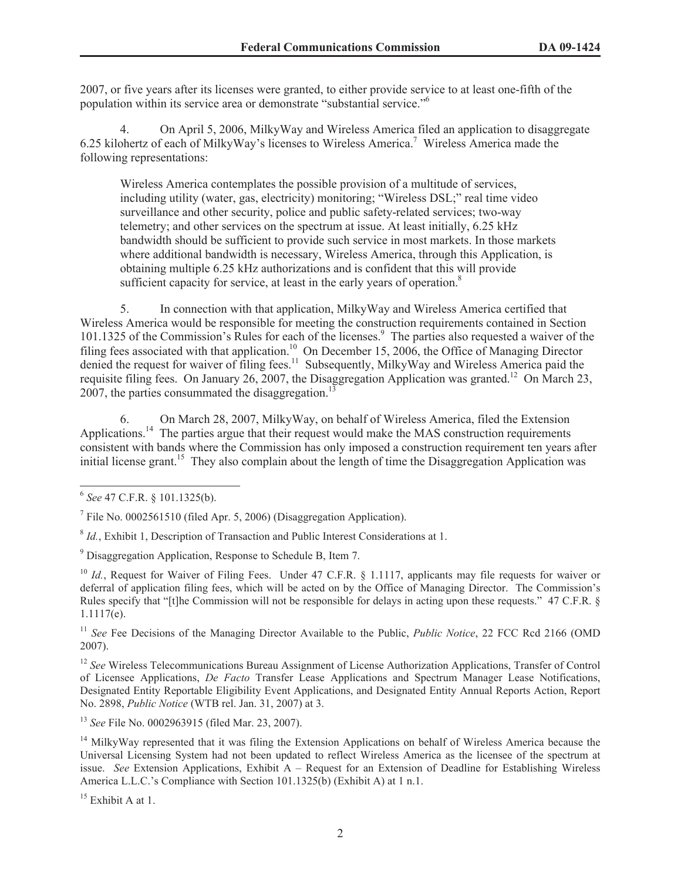2007, or five years after its licenses were granted, to either provide service to at least one-fifth of the population within its service area or demonstrate "substantial service."<sup>6</sup>

4. On April 5, 2006, MilkyWay and Wireless America filed an application to disaggregate 6.25 kilohertz of each of MilkyWay's licenses to Wireless America.<sup>7</sup> Wireless America made the following representations:

Wireless America contemplates the possible provision of a multitude of services, including utility (water, gas, electricity) monitoring; "Wireless DSL;" real time video surveillance and other security, police and public safety-related services; two-way telemetry; and other services on the spectrum at issue. At least initially, 6.25 kHz bandwidth should be sufficient to provide such service in most markets. In those markets where additional bandwidth is necessary, Wireless America, through this Application, is obtaining multiple 6.25 kHz authorizations and is confident that this will provide sufficient capacity for service, at least in the early years of operation.<sup>8</sup>

5. In connection with that application, MilkyWay and Wireless America certified that Wireless America would be responsible for meeting the construction requirements contained in Section 101.1325 of the Commission's Rules for each of the licenses.<sup>9</sup> The parties also requested a waiver of the filing fees associated with that application.<sup>10</sup> On December 15, 2006, the Office of Managing Director denied the request for waiver of filing fees.<sup>11</sup> Subsequently, MilkyWay and Wireless America paid the requisite filing fees. On January 26, 2007, the Disaggregation Application was granted.<sup>12</sup> On March 23, 2007, the parties consummated the disaggregation.<sup>13</sup>

6. On March 28, 2007, MilkyWay, on behalf of Wireless America, filed the Extension Applications.<sup>14</sup> The parties argue that their request would make the MAS construction requirements consistent with bands where the Commission has only imposed a construction requirement ten years after initial license grant.<sup>15</sup> They also complain about the length of time the Disaggregation Application was

<sup>8</sup> *Id.*, Exhibit 1, Description of Transaction and Public Interest Considerations at 1.

<sup>6</sup> *See* 47 C.F.R. § 101.1325(b).

<sup>&</sup>lt;sup>7</sup> File No. 0002561510 (filed Apr. 5, 2006) (Disaggregation Application).

<sup>9</sup> Disaggregation Application, Response to Schedule B, Item 7.

<sup>&</sup>lt;sup>10</sup> *Id.*, Request for Waiver of Filing Fees. Under 47 C.F.R. § 1.1117, applicants may file requests for waiver or deferral of application filing fees, which will be acted on by the Office of Managing Director. The Commission's Rules specify that "[t]he Commission will not be responsible for delays in acting upon these requests." 47 C.F.R. § 1.1117(e).

<sup>&</sup>lt;sup>11</sup> *See* Fee Decisions of the Managing Director Available to the Public, *Public Notice*, 22 FCC Rcd 2166 (OMD 2007).

<sup>&</sup>lt;sup>12</sup> See Wireless Telecommunications Bureau Assignment of License Authorization Applications, Transfer of Control of Licensee Applications, *De Facto* Transfer Lease Applications and Spectrum Manager Lease Notifications, Designated Entity Reportable Eligibility Event Applications, and Designated Entity Annual Reports Action, Report No. 2898, *Public Notice* (WTB rel. Jan. 31, 2007) at 3.

<sup>13</sup> *See* File No. 0002963915 (filed Mar. 23, 2007).

<sup>&</sup>lt;sup>14</sup> MilkyWay represented that it was filing the Extension Applications on behalf of Wireless America because the Universal Licensing System had not been updated to reflect Wireless America as the licensee of the spectrum at issue. *See* Extension Applications, Exhibit A – Request for an Extension of Deadline for Establishing Wireless America L.L.C.'s Compliance with Section 101.1325(b) (Exhibit A) at 1 n.1.

 $15$  Exhibit A at 1.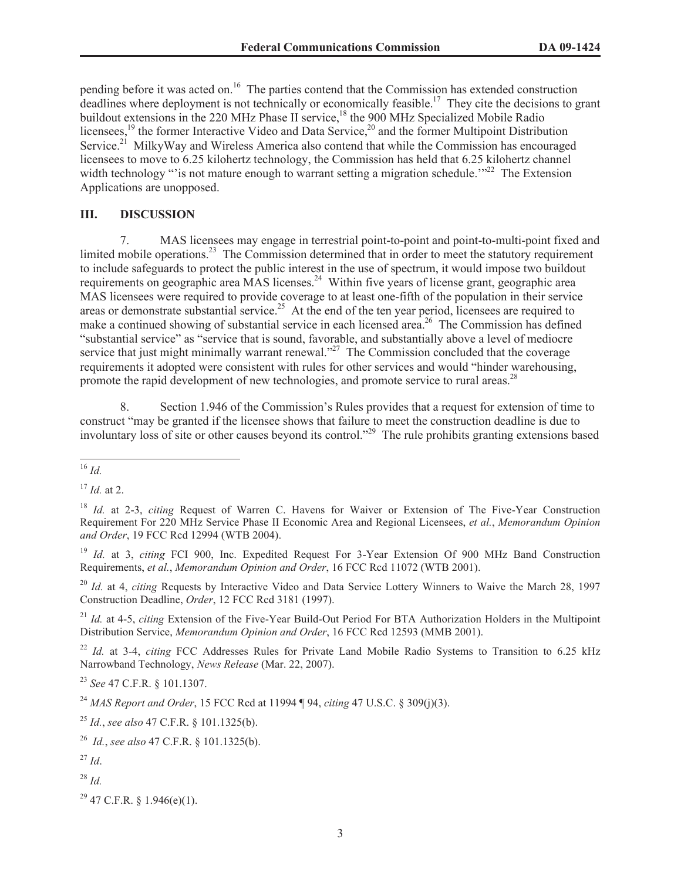pending before it was acted on.<sup>16</sup> The parties contend that the Commission has extended construction deadlines where deployment is not technically or economically feasible.<sup>17</sup> They cite the decisions to grant buildout extensions in the 220 MHz Phase II service,<sup>18</sup> the 900 MHz Specialized Mobile Radio licensees,<sup>19</sup> the former Interactive Video and Data Service,<sup>20</sup> and the former Multipoint Distribution Service.<sup>21</sup> MilkyWay and Wireless America also contend that while the Commission has encouraged licensees to move to 6.25 kilohertz technology, the Commission has held that 6.25 kilohertz channel width technology "'is not mature enough to warrant setting a migration schedule."<sup>22</sup> The Extension Applications are unopposed.

# **III. DISCUSSION**

7. MAS licensees may engage in terrestrial point-to-point and point-to-multi-point fixed and limited mobile operations.<sup>23</sup> The Commission determined that in order to meet the statutory requirement to include safeguards to protect the public interest in the use of spectrum, it would impose two buildout requirements on geographic area MAS licenses.<sup>24</sup> Within five years of license grant, geographic area MAS licensees were required to provide coverage to at least one-fifth of the population in their service areas or demonstrate substantial service.<sup>25</sup> At the end of the ten year period, licensees are required to make a continued showing of substantial service in each licensed area.<sup>26</sup> The Commission has defined "substantial service" as "service that is sound, favorable, and substantially above a level of mediocre service that just might minimally warrant renewal."<sup>27</sup> The Commission concluded that the coverage requirements it adopted were consistent with rules for other services and would "hinder warehousing, promote the rapid development of new technologies, and promote service to rural areas.<sup>28</sup>

8. Section 1.946 of the Commission's Rules provides that a request for extension of time to construct "may be granted if the licensee shows that failure to meet the construction deadline is due to involuntary loss of site or other causes beyond its control."<sup>29</sup> The rule prohibits granting extensions based

<sup>17</sup> *Id.* at 2.

<sup>21</sup> *Id.* at 4-5, *citing* Extension of the Five-Year Build-Out Period For BTA Authorization Holders in the Multipoint Distribution Service, *Memorandum Opinion and Order*, 16 FCC Rcd 12593 (MMB 2001).

<sup>22</sup> *Id.* at 3-4, *citing* FCC Addresses Rules for Private Land Mobile Radio Systems to Transition to 6.25 kHz Narrowband Technology, *News Release* (Mar. 22, 2007).

<sup>23</sup> *See* 47 C.F.R. § 101.1307.

<sup>28</sup> *Id.*

 $29$  47 C.F.R. § 1.946(e)(1).

<sup>16</sup> *Id.*

<sup>18</sup> *Id.* at 2-3, *citing* Request of Warren C. Havens for Waiver or Extension of The Five-Year Construction Requirement For 220 MHz Service Phase II Economic Area and Regional Licensees, *et al.*, *Memorandum Opinion and Order*, 19 FCC Rcd 12994 (WTB 2004).

<sup>19</sup> *Id.* at 3, *citing* FCI 900, Inc. Expedited Request For 3-Year Extension Of 900 MHz Band Construction Requirements, *et al.*, *Memorandum Opinion and Order*, 16 FCC Rcd 11072 (WTB 2001).

<sup>&</sup>lt;sup>20</sup> *Id.* at 4, *citing* Requests by Interactive Video and Data Service Lottery Winners to Waive the March 28, 1997 Construction Deadline, *Order*, 12 FCC Rcd 3181 (1997).

<sup>24</sup> *MAS Report and Order*, 15 FCC Rcd at 11994 ¶ 94, *citing* 47 U.S.C. § 309(j)(3).

<sup>25</sup> *Id.*, *see also* 47 C.F.R. § 101.1325(b).

<sup>26</sup> *Id.*, *see also* 47 C.F.R. § 101.1325(b).

 $^{27}$  *Id.*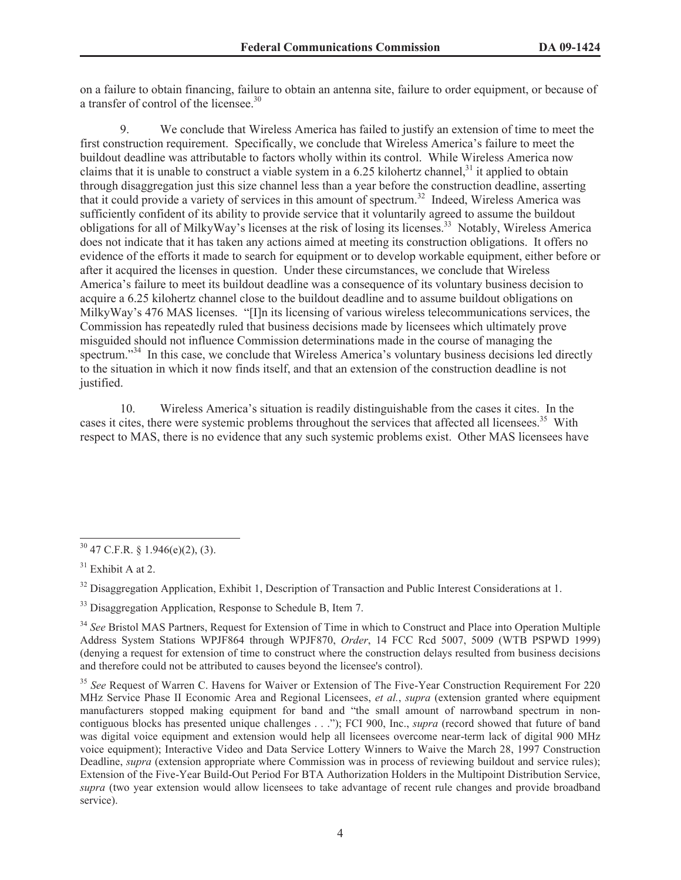on a failure to obtain financing, failure to obtain an antenna site, failure to order equipment, or because of a transfer of control of the licensee.<sup>30</sup>

9. We conclude that Wireless America has failed to justify an extension of time to meet the first construction requirement. Specifically, we conclude that Wireless America's failure to meet the buildout deadline was attributable to factors wholly within its control. While Wireless America now claims that it is unable to construct a viable system in a 6.25 kilohertz channel,<sup>31</sup> it applied to obtain through disaggregation just this size channel less than a year before the construction deadline, asserting that it could provide a variety of services in this amount of spectrum.<sup>32</sup> Indeed, Wireless America was sufficiently confident of its ability to provide service that it voluntarily agreed to assume the buildout obligations for all of MilkyWay's licenses at the risk of losing its licenses.<sup>33</sup> Notably, Wireless America does not indicate that it has taken any actions aimed at meeting its construction obligations. It offers no evidence of the efforts it made to search for equipment or to develop workable equipment, either before or after it acquired the licenses in question. Under these circumstances, we conclude that Wireless America's failure to meet its buildout deadline was a consequence of its voluntary business decision to acquire a 6.25 kilohertz channel close to the buildout deadline and to assume buildout obligations on MilkyWay's 476 MAS licenses. "[I]n its licensing of various wireless telecommunications services, the Commission has repeatedly ruled that business decisions made by licensees which ultimately prove misguided should not influence Commission determinations made in the course of managing the spectrum.<sup>334</sup> In this case, we conclude that Wireless America's voluntary business decisions led directly to the situation in which it now finds itself, and that an extension of the construction deadline is not justified.

10. Wireless America's situation is readily distinguishable from the cases it cites. In the cases it cites, there were systemic problems throughout the services that affected all licensees.<sup>35</sup> With respect to MAS, there is no evidence that any such systemic problems exist. Other MAS licensees have

 $30\,47$  C.F.R. § 1.946(e)(2), (3).

 $31$  Exhibit A at 2.

<sup>&</sup>lt;sup>32</sup> Disaggregation Application, Exhibit 1, Description of Transaction and Public Interest Considerations at 1.

<sup>&</sup>lt;sup>33</sup> Disaggregation Application, Response to Schedule B, Item 7.

<sup>&</sup>lt;sup>34</sup> See Bristol MAS Partners, Request for Extension of Time in which to Construct and Place into Operation Multiple Address System Stations WPJF864 through WPJF870, *Order*, 14 FCC Rcd 5007, 5009 (WTB PSPWD 1999) (denying a request for extension of time to construct where the construction delays resulted from business decisions and therefore could not be attributed to causes beyond the licensee's control).

<sup>&</sup>lt;sup>35</sup> See Request of Warren C. Havens for Waiver or Extension of The Five-Year Construction Requirement For 220 MHz Service Phase II Economic Area and Regional Licensees, *et al.*, *supra* (extension granted where equipment manufacturers stopped making equipment for band and "the small amount of narrowband spectrum in noncontiguous blocks has presented unique challenges . . ."); FCI 900, Inc., *supra* (record showed that future of band was digital voice equipment and extension would help all licensees overcome near-term lack of digital 900 MHz voice equipment); Interactive Video and Data Service Lottery Winners to Waive the March 28, 1997 Construction Deadline, *supra* (extension appropriate where Commission was in process of reviewing buildout and service rules); Extension of the Five-Year Build-Out Period For BTA Authorization Holders in the Multipoint Distribution Service, *supra* (two year extension would allow licensees to take advantage of recent rule changes and provide broadband service).